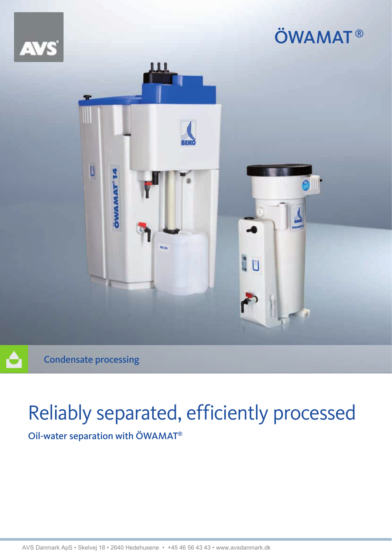

Condensate processing

# Reliably separated, efficiently processed

Oil-water separation with ÖWAMAT®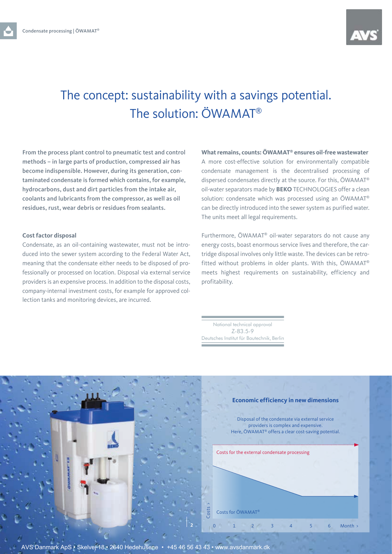

### The concept: sustainability with a savings potential. The solution: ÖWAMAT®

From the process plant control to pneumatic test and control methods – in large parts of production, compressed air has become indispensible. However, during its generation, contaminated condensate is formed which contains, for example, hydrocarbons, dust and dirt particles from the intake air, coolants and lubricants from the compressor, as well as oil residues, rust, wear debris or residues from sealants.

#### **Cost factor disposal**

Condensate, as an oil-containing wastewater, must not be introduced into the sewer system according to the Federal Water Act, meaning that the condensate either needs to be disposed of professionally or processed on location. Disposal via external service providers is an expensive process. In addition to the disposal costs, company-internal investment costs, for example for approved collection tanks and monitoring devices, are incurred.

**What remains, counts: ÖWAMAT® ensures oil-free wastewater**  A more cost-effective solution for environmentally compatible condensate management is the decentralised processing of dispersed condensates directly at the source. For this, ÖWAMAT® oil-water separators made by **BEKO** TECHNOLOGIES offer a clean solution: condensate which was processed using an ÖWAMAT® can be directly introduced into the sewer system as purified water. The units meet all legal requirements.

Furthermore, ÖWAMAT® oil-water separators do not cause any energy costs, boast enormous service lives and therefore, the cartridge disposal involves only little waste. The devices can be retrofitted without problems in older plants. With this, ÖWAMAT® meets highest requirements on sustainability, efficiency and profitability.

National technical approval Z-83.5-9 Deutsches Institut für Bautechnik, Berlin



AVS Danmark ApS • Skelvej 18 • 2640 Hedehusene • +45 46 56 43 43 • www.avsdanmark.dk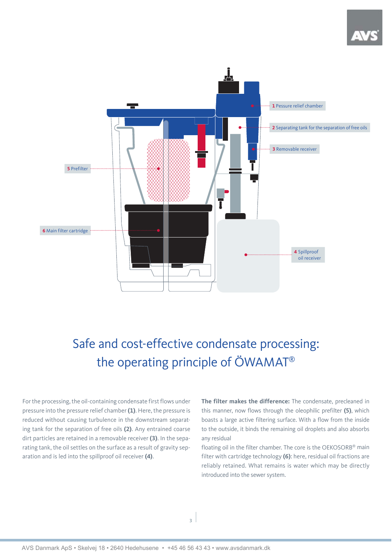

## Safe and cost-effective condensate processing: the operating principle of ÖWAMAT®

For the processing, the oil-containing condensate first flows under pressure into the pressure relief chamber **(1)**. Here, the pressure is reduced without causing turbulence in the downstream separating tank for the separation of free oils **(2)**. Any entrained coarse dirt particles are retained in a removable receiver **(3)**. In the separating tank, the oil settles on the surface as a result of gravity separation and is led into the spillproof oil receiver **(4)**.

**The filter makes the difference:** The condensate, precleaned in this manner, now flows through the oleophilic prefilter **(5)**, which boasts a large active filtering surface. With a flow from the inside to the outside, it binds the remaining oil droplets and also absorbs any residual

floating oil in the filter chamber. The core is the OEKOSORB® main filter with cartridge technology **(6)**: here, residual oil fractions are reliably retained. What remains is water which may be directly introduced into the sewer system.

**3**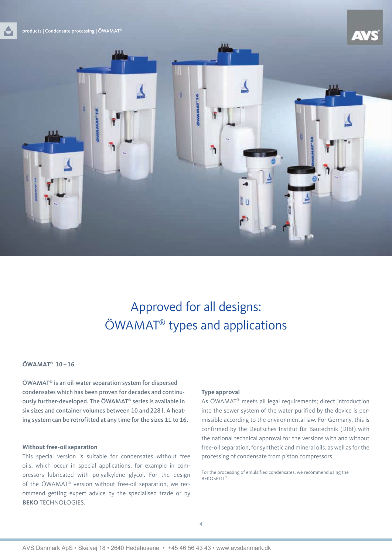



### Approved for all designs: ÖWAMAT® types and applications

ħ

#### **ÖWAMAT® 10 – 16**

ÖWAMAT® is an oil-water separation system for dispersed condensates which has been proven for decades and continuously further-developed. The ÖWAMAT® series is available in six sizes and container volumes between 10 and 228 l. A heating system can be retrofitted at any time for the sizes 11 to 16.

#### **Without free-oil separation**

This special version is suitable for condensates without free oils, which occur in special applications, for example in compressors lubricated with polyalkylene glycol. For the design of the ÖWAMAT® version without free-oil separation, we recommend getting expert advice by the specialised trade or by **BEKO** TECHNOLOGIES.

#### **Type approval**

As ÖWAMAT® meets all legal requirements; direct introduction into the sewer system of the water purified by the device is permissible according to the environmental law. For Germany, this is confirmed by the Deutsches Institut für Bautechnik (DIBt) with the national technical approval for the versions with and without free-oil separation, for synthetic and mineral oils, as well as for the processing of condensate from piston compressors.

For the processing of emulsified condensates, we recommend using the BEKOSPLIT®.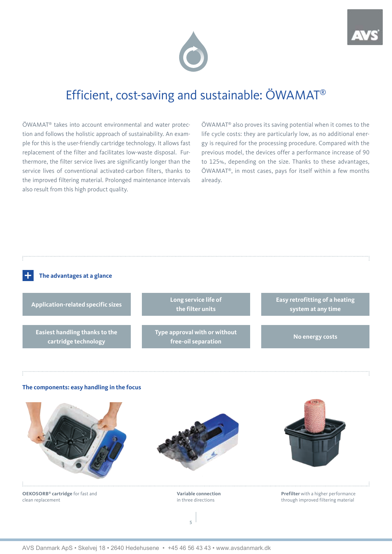



### Efficient, cost-saving and sustainable: ÖWAMAT®

ÖWAMAT® takes into account environmental and water protection and follows the holistic approach of sustainability. An example for this is the user-friendly cartridge technology. It allows fast replacement of the filter and facilitates low-waste disposal. Furthermore, the filter service lives are significantly longer than the service lives of conventional activated-carbon filters, thanks to the improved filtering material. Prolonged maintenance intervals also result from this high product quality.

ÖWAMAT® also proves its saving potential when it comes to the life cycle costs: they are particularly low, as no additional energy is required for the processing procedure. Compared with the previous model, the devices offer a performance increase of 90 to 125%, depending on the size. Thanks to these advantages, ÖWAMAT®, in most cases, pays for itself within a few months already.



#### **The components: easy handling in the focus**



**OEKOSORB® cartridge** for fast and clean replacement

**Variable connection** in three directions

**5**

**Prefilter** with a higher performance through improved filtering material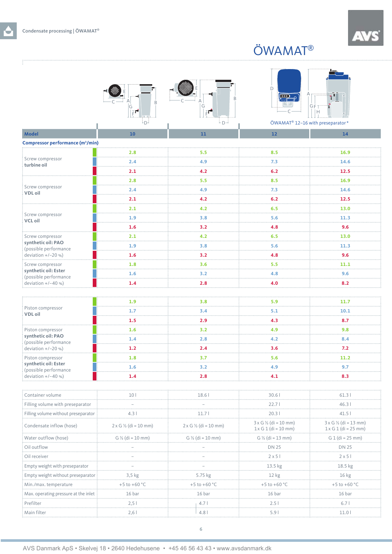## ÖWAMAT®

 $\Box$ 

à,

|                                               | G<br>FГ.                                | D<br><u>اده</u> )<br>گ                       | GF                                                     |                                                              |
|-----------------------------------------------|-----------------------------------------|----------------------------------------------|--------------------------------------------------------|--------------------------------------------------------------|
|                                               | ٠D-                                     | $D -$                                        |                                                        | ÖWAMAT® 12-16 with preseparator*                             |
| <b>Model</b>                                  | 10                                      | 11                                           | ${\bf 12}$                                             | 14                                                           |
| Compressor performance (m <sup>3</sup> /min)  |                                         |                                              |                                                        |                                                              |
| Screw compressor<br>turbine oil               | 2.8                                     | 5.5                                          | 8.5                                                    | 16.9                                                         |
|                                               | 2.4                                     | 4.9                                          | 7.3                                                    | 14.6                                                         |
|                                               | 2.1                                     | 4.2<br>.                                     | 6.2                                                    | 12.5                                                         |
| Screw compressor<br><b>VDL</b> oil            | 2.8                                     | 5.5                                          | 8.5                                                    | 16.9                                                         |
|                                               | 2.4                                     | 4.9                                          | 7.3                                                    | 14.6                                                         |
|                                               | 2.1                                     | 4.2                                          | 6.2                                                    | 12.5                                                         |
|                                               | 2.1                                     | 4.2                                          | 6.5                                                    | 13.0                                                         |
| Screw compressor<br><b>VCL oil</b>            | 1.9                                     | 3.8                                          | 5.6                                                    | 11.3                                                         |
|                                               | 1.6                                     | 3.2                                          | 4.8                                                    | 9.6                                                          |
| Screw compressor                              | 2.1                                     | 4.2                                          | 6.5                                                    | 13.0                                                         |
| synthetic oil: PAO<br>(possible performance   | 1.9                                     | 3.8                                          | 5.6                                                    | 11.3                                                         |
| deviation $+/-20$ %)                          | 1.6                                     | 3.2                                          | 4.8                                                    | 9.6                                                          |
| Screw compressor                              | 1.8                                     | 3.6                                          | 5.5                                                    | 11.1                                                         |
| synthetic oil: Ester<br>(possible performance | 1.6                                     | 3.2                                          | 4.8                                                    | 9.6                                                          |
| deviation +/-40 %)                            | 1.4                                     | .<br>2.8                                     | 4.0                                                    | 8.2                                                          |
|                                               |                                         |                                              |                                                        |                                                              |
|                                               | 1.9                                     | 3.8                                          | 5.9                                                    | 11.7                                                         |
| Piston compressor<br><b>VDL</b> oil           | 1.7                                     | 3.4                                          | 5.1                                                    | 10.1                                                         |
|                                               | 1.5                                     | 2.9                                          | 4.3                                                    | 8.7                                                          |
| Piston compressor                             | 1.6                                     | 3.2                                          | 4.9                                                    | 9.8                                                          |
| synthetic oil: PAO<br>(possible performance   | 1.4                                     | 2.8                                          | 4.2                                                    | 8.4                                                          |
| deviation $+/-20$ %)                          | 1.2                                     | 2.4                                          | 3.6                                                    | 7.2                                                          |
| Piston compressor                             | 1.8                                     | .<br>3.7                                     | 1.1.1<br>5.6                                           | .<br>11.2                                                    |
| synthetic oil: Ester<br>(possible performance | 1.6                                     | 3.2                                          | 4.9                                                    | 9.7                                                          |
| deviation +/-40 %)                            | 1.4                                     | 2.8                                          | 4.1                                                    | 8.3                                                          |
|                                               |                                         |                                              |                                                        |                                                              |
| Container volume                              |                                         | 18 R                                         | 30.6                                                   | 61.3.                                                        |
| Filling volume with preseparator              |                                         |                                              | 22.7                                                   | 46.3                                                         |
| Filling volume without preseparator           | 4.3                                     | 11.7 I                                       | 20.31                                                  | 41.5                                                         |
| Condensate inflow (hose)                      | $2 \times G$ $\frac{1}{2}$ (di = 10 mm) | $2 \times G$ $\frac{1}{2}$ (di = 10 mm)<br>. | $3 \times G$ 1/2 (di = 10 mm)<br>$1x G 1 (di = 10 mm)$ | $3 \times G$ 1/2 (di = 13 mm)<br>$1 \times G 1$ (di = 25 mm) |
| Water outflow (hose)                          | $G\frac{1}{2}$ (di = 10 mm)             | G $\frac{1}{2}$ (di = 10 mm)                 | G $\frac{1}{2}$ (di = 13 mm)                           | $G 1$ (di = 25 mm)                                           |
| Oil outflow                                   |                                         |                                              | <b>DN 25</b>                                           | DN 25                                                        |
| Oil receiver                                  |                                         |                                              | $2 \times 5$                                           | $2 \times 5$                                                 |
| Empty weight with preseparator                |                                         |                                              | 13.5 kg                                                | 18.5 kg                                                      |
| Empty weight without preseparator             | 3,5 kg                                  | 5.75 kg                                      | 12 kg                                                  | 16 kg                                                        |
| Min./max. temperature                         | +5 to +60 °C                            | +5 to +60 °C                                 | +5 to +60 °C                                           | $+5$ to $+60$ °C                                             |
| Max. operating pressure at the inlet          | 16 bar                                  | 16 bar                                       | 16 bar                                                 | 16 bar                                                       |
| Prefilter                                     | 2,51                                    | 4.7 <sub>1</sub>                             | 2.51                                                   | 6.7 <sup>1</sup>                                             |

Main filter 2,6 l 4.8 l 5.9 l 11.0 l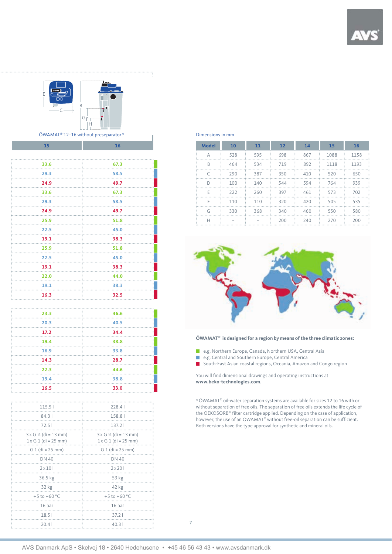#### B GF H C

E

ÖWAMAT® 12-16 without preseparator \* The Community of the Dimensions in mm

| 15                                      | 16                                      |
|-----------------------------------------|-----------------------------------------|
|                                         |                                         |
| 33.6                                    | 67.3                                    |
| 29.3                                    | 58.5                                    |
| 24.9                                    | 49.7                                    |
| 33.6                                    | 67.3                                    |
| 29.3                                    | 58.5                                    |
| 24.9                                    | 49.7                                    |
| 25.9                                    | 51.8                                    |
| 22.5                                    | 45.0                                    |
| 19.1                                    | 38.3                                    |
| 25.9                                    | 51.8                                    |
| 22.5                                    | 45.0                                    |
| 19.1                                    | 38.3                                    |
| 22.0                                    |                                         |
|                                         | 44.0                                    |
| 19.1                                    | 38.3                                    |
| 16.3                                    | 32.5                                    |
|                                         |                                         |
| 23.3                                    | 46.6                                    |
| 20.3                                    | 40.5                                    |
| 17.2                                    | 34.4                                    |
| 19.4                                    | 38.8                                    |
| 16.9                                    | 33.8                                    |
| 14.3                                    | 28.7                                    |
| 22.3                                    | 44.6                                    |
| 19.4                                    | 38.8                                    |
| 16.5                                    | 33.0                                    |
|                                         |                                         |
| 115.5                                   | 228.41                                  |
| 84.3 l                                  | 158.81                                  |
| 72.51                                   | 137.21                                  |
| $3 \times G$ $\frac{1}{2}$ (di = 13 mm) | $3 \times G$ $\frac{1}{2}$ (di = 13 mm) |
| $1x G 1 (di = 25 mm)$                   | 1 x G 1 (di = 25 mm)                    |
| $G 1$ (di = 25 mm)                      | G 1 (di = 25 mm)                        |
| DN 40                                   | DN 40                                   |
| 2 x 10 l                                | $2 \times 201$                          |
| 36.5 kg                                 | 53 kg                                   |
| 32 kg                                   | 42 kg                                   |
| +5 to +60 $^{\circ}$ C                  | +5 to +60 $^{\circ}$ C                  |
| 16 bar                                  | 16 bar                                  |
| 18.5 <sub>1</sub>                       | 37.2                                    |
| 20.41                                   | 40.31                                   |
|                                         |                                         |

| <b>Model</b> | 10  | 11  | 12  | 14  | 15   | <b>16</b> |
|--------------|-----|-----|-----|-----|------|-----------|
| А            | 528 | 595 | 698 | 867 | 1088 | 1158      |
| B            | 464 | 534 | 719 | 892 | 1118 | 1193      |
| $\subset$    | 290 | 387 | 350 | 410 | 520  | 650       |
| D            | 100 | 140 | 544 | 594 | 764  | 939       |
| E            | 222 | 260 | 397 | 461 | 573  | 702       |
| F            | 110 | 110 | 320 | 420 | 505  | 535       |
| G            | 330 | 368 | 340 | 460 | 550  | 580       |
| н            |     |     | 200 | 240 | 270  | 200       |



#### **ÖWAMAT® is designed for a region by means of the three climatic zones:**

 $\mathcal{C}^{\mathcal{A}}$ e.g. Northern Europe, Canada, Northern USA, Central Asia

F e.g. Central and Southern Europe, Central America

**South-East Asian coastal regions, Oceania, Amazon and Congo region** 

You will find dimensional drawings and operating instructions at **www.beko-technologies.com**.

\* ÖWAMAT® oil-water separation systems are available for sizes 12 to 16 with or without separation of free oils. The separation of free oils extends the life cycle of the OEKOSORB® filter cartridge applied. Depending on the case of application, however, the use of an ÖWAMAT® without free-oil separation can be sufficient. Both versions have the type approval for synthetic and mineral oils.

**7**